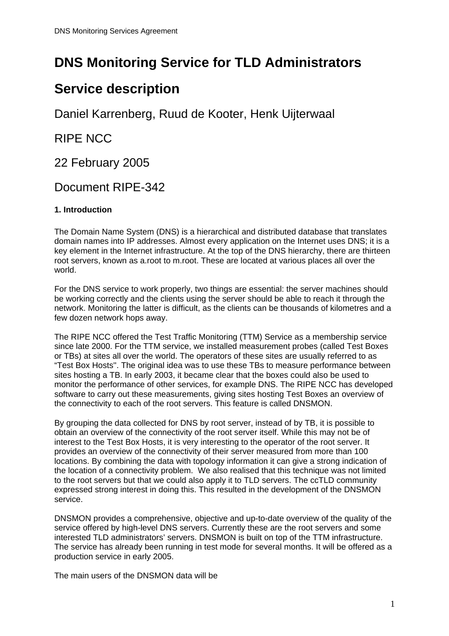# **DNS Monitoring Service for TLD Administrators**

## **Service description**

Daniel Karrenberg, Ruud de Kooter, Henk Uijterwaal

RIPE NCC

22 February 2005

### Document RIPE-342

### **1. Introduction**

The Domain Name System (DNS) is a hierarchical and distributed database that translates domain names into IP addresses. Almost every application on the Internet uses DNS; it is a key element in the Internet infrastructure. At the top of the DNS hierarchy, there are thirteen root servers, known as a.root to m.root. These are located at various places all over the world.

For the DNS service to work properly, two things are essential: the server machines should be working correctly and the clients using the server should be able to reach it through the network. Monitoring the latter is difficult, as the clients can be thousands of kilometres and a few dozen network hops away.

The RIPE NCC offered the Test Traffic Monitoring (TTM) Service as a membership service since late 2000. For the TTM service, we installed measurement probes (called Test Boxes or TBs) at sites all over the world. The operators of these sites are usually referred to as "Test Box Hosts''. The original idea was to use these TBs to measure performance between sites hosting a TB. In early 2003, it became clear that the boxes could also be used to monitor the performance of other services, for example DNS. The RIPE NCC has developed software to carry out these measurements, giving sites hosting Test Boxes an overview of the connectivity to each of the root servers. This feature is called DNSMON.

By grouping the data collected for DNS by root server, instead of by TB, it is possible to obtain an overview of the connectivity of the root server itself. While this may not be of interest to the Test Box Hosts, it is very interesting to the operator of the root server. It provides an overview of the connectivity of their server measured from more than 100 locations. By combining the data with topology information it can give a strong indication of the location of a connectivity problem. We also realised that this technique was not limited to the root servers but that we could also apply it to TLD servers. The ccTLD community expressed strong interest in doing this. This resulted in the development of the DNSMON service.

DNSMON provides a comprehensive, objective and up-to-date overview of the quality of the service offered by high-level DNS servers. Currently these are the root servers and some interested TLD administrators' servers. DNSMON is built on top of the TTM infrastructure. The service has already been running in test mode for several months. It will be offered as a production service in early 2005.

The main users of the DNSMON data will be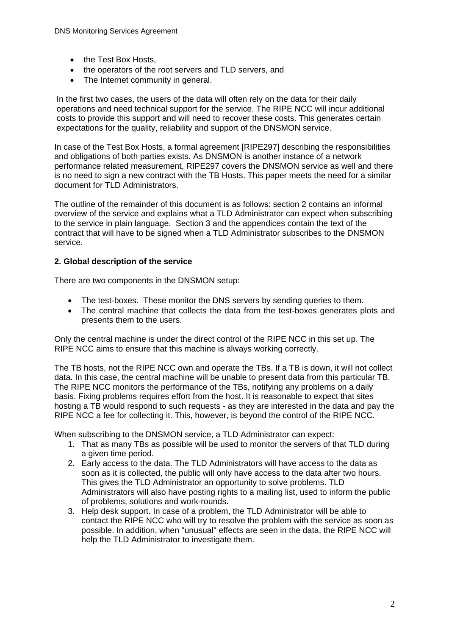- the Test Box Hosts,
- the operators of the root servers and TLD servers, and
- The Internet community in general.

In the first two cases, the users of the data will often rely on the data for their daily operations and need technical support for the service. The RIPE NCC will incur additional costs to provide this support and will need to recover these costs. This generates certain expectations for the quality, reliability and support of the DNSMON service.

In case of the Test Box Hosts, a formal agreement [RIPE297] describing the responsibilities and obligations of both parties exists. As DNSMON is another instance of a network performance related measurement, RIPE297 covers the DNSMON service as well and there is no need to sign a new contract with the TB Hosts. This paper meets the need for a similar document for TLD Administrators.

The outline of the remainder of this document is as follows: section 2 contains an informal overview of the service and explains what a TLD Administrator can expect when subscribing to the service in plain language. Section 3 and the appendices contain the text of the contract that will have to be signed when a TLD Administrator subscribes to the DNSMON service.

#### **2. Global description of the service**

There are two components in the DNSMON setup:

- The test-boxes. These monitor the DNS servers by sending queries to them.
- The central machine that collects the data from the test-boxes generates plots and presents them to the users.

Only the central machine is under the direct control of the RIPE NCC in this set up. The RIPE NCC aims to ensure that this machine is always working correctly.

The TB hosts, not the RIPE NCC own and operate the TBs. If a TB is down, it will not collect data. In this case, the central machine will be unable to present data from this particular TB. The RIPE NCC monitors the performance of the TBs, notifying any problems on a daily basis. Fixing problems requires effort from the host. It is reasonable to expect that sites hosting a TB would respond to such requests - as they are interested in the data and pay the RIPE NCC a fee for collecting it. This, however, is beyond the control of the RIPE NCC.

When subscribing to the DNSMON service, a TLD Administrator can expect:

- 1. That as many TBs as possible will be used to monitor the servers of that TLD during a given time period.
- 2. Early access to the data. The TLD Administrators will have access to the data as soon as it is collected, the public will only have access to the data after two hours. This gives the TLD Administrator an opportunity to solve problems. TLD Administrators will also have posting rights to a mailing list, used to inform the public of problems, solutions and work-rounds.
- 3. Help desk support. In case of a problem, the TLD Administrator will be able to contact the RIPE NCC who will try to resolve the problem with the service as soon as possible. In addition, when "unusual" effects are seen in the data, the RIPE NCC will help the TLD Administrator to investigate them.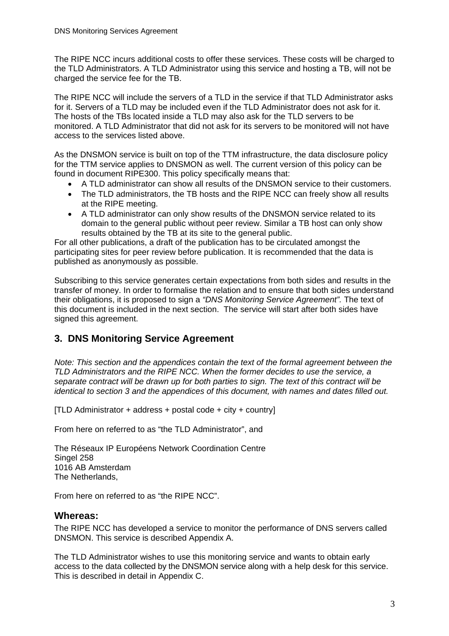The RIPE NCC incurs additional costs to offer these services. These costs will be charged to the TLD Administrators. A TLD Administrator using this service and hosting a TB, will not be charged the service fee for the TB.

The RIPE NCC will include the servers of a TLD in the service if that TLD Administrator asks for it. Servers of a TLD may be included even if the TLD Administrator does not ask for it. The hosts of the TBs located inside a TLD may also ask for the TLD servers to be monitored. A TLD Administrator that did not ask for its servers to be monitored will not have access to the services listed above.

As the DNSMON service is built on top of the TTM infrastructure, the data disclosure policy for the TTM service applies to DNSMON as well. The current version of this policy can be found in document RIPE300. This policy specifically means that:

- A TLD administrator can show all results of the DNSMON service to their customers.
- The TLD administrators, the TB hosts and the RIPE NCC can freely show all results at the RIPE meeting.
- A TLD administrator can only show results of the DNSMON service related to its domain to the general public without peer review. Similar a TB host can only show results obtained by the TB at its site to the general public.

For all other publications, a draft of the publication has to be circulated amongst the participating sites for peer review before publication. It is recommended that the data is published as anonymously as possible.

Subscribing to this service generates certain expectations from both sides and results in the transfer of money. In order to formalise the relation and to ensure that both sides understand their obligations, it is proposed to sign a *"DNS Monitoring Service Agreement".* The text of this document is included in the next section. The service will start after both sides have signed this agreement.

### **3. DNS Monitoring Service Agreement**

*Note: This section and the appendices contain the text of the formal agreement between the TLD Administrators and the RIPE NCC. When the former decides to use the service, a separate contract will be drawn up for both parties to sign. The text of this contract will be identical to section 3 and the appendices of this document, with names and dates filled out.* 

[TLD Administrator + address + postal code + city + country]

From here on referred to as "the TLD Administrator", and

The Réseaux IP Européens Network Coordination Centre Singel 258 1016 AB Amsterdam The Netherlands,

From here on referred to as "the RIPE NCC".

#### **Whereas:**

The RIPE NCC has developed a service to monitor the performance of DNS servers called DNSMON. This service is described Appendix A.

The TLD Administrator wishes to use this monitoring service and wants to obtain early access to the data collected by the DNSMON service along with a help desk for this service. This is described in detail in Appendix C.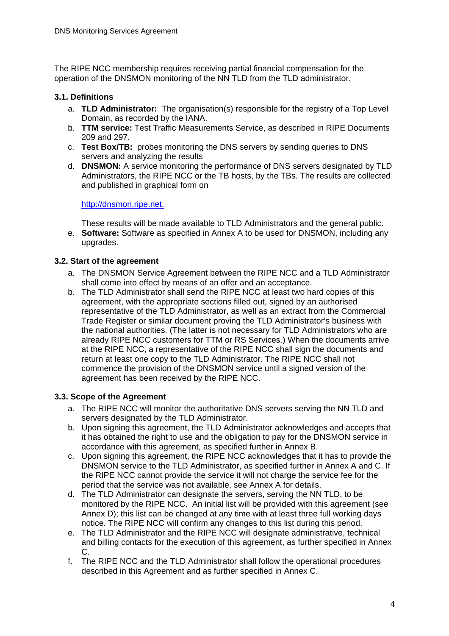The RIPE NCC membership requires receiving partial financial compensation for the operation of the DNSMON monitoring of the NN TLD from the TLD administrator.

#### **3.1. Definitions**

- a. **TLD Administrator:** The organisation(s) responsible for the registry of a Top Level Domain, as recorded by the IANA.
- b. **TTM service:** Test Traffic Measurements Service, as described in RIPE Documents 209 and 297.
- c. **Test Box/TB:** probes monitoring the DNS servers by sending queries to DNS servers and analyzing the results
- d. **DNSMON:** A service monitoring the performance of DNS servers designated by TLD Administrators, the RIPE NCC or the TB hosts, by the TBs. The results are collected and published in graphical form on

#### [http://dnsmon.ripe.net.](http://dnsmon.ripe.net/)

These results will be made available to TLD Administrators and the general public.

e. **Software:** Software as specified in Annex A to be used for DNSMON, including any upgrades.

#### **3.2. Start of the agreement**

- a. The DNSMON Service Agreement between the RIPE NCC and a TLD Administrator shall come into effect by means of an offer and an acceptance.
- b. The TLD Administrator shall send the RIPE NCC at least two hard copies of this agreement, with the appropriate sections filled out, signed by an authorised representative of the TLD Administrator, as well as an extract from the Commercial Trade Register or similar document proving the TLD Administrator's business with the national authorities. (The latter is not necessary for TLD Administrators who are already RIPE NCC customers for TTM or RS Services.) When the documents arrive at the RIPE NCC, a representative of the RIPE NCC shall sign the documents and return at least one copy to the TLD Administrator. The RIPE NCC shall not commence the provision of the DNSMON service until a signed version of the agreement has been received by the RIPE NCC.

#### **3.3. Scope of the Agreement**

- a. The RIPE NCC will monitor the authoritative DNS servers serving the NN TLD and servers designated by the TLD Administrator.
- b. Upon signing this agreement, the TLD Administrator acknowledges and accepts that it has obtained the right to use and the obligation to pay for the DNSMON service in accordance with this agreement, as specified further in Annex B.
- c. Upon signing this agreement, the RIPE NCC acknowledges that it has to provide the DNSMON service to the TLD Administrator, as specified further in Annex A and C. If the RIPE NCC cannot provide the service it will not charge the service fee for the period that the service was not available, see Annex A for details.
- d. The TLD Administrator can designate the servers, serving the NN TLD, to be monitored by the RIPE NCC. An initial list will be provided with this agreement (see Annex D); this list can be changed at any time with at least three full working days notice. The RIPE NCC will confirm any changes to this list during this period.
- e. The TLD Administrator and the RIPE NCC will designate administrative, technical and billing contacts for the execution of this agreement, as further specified in Annex C.
- f. The RIPE NCC and the TLD Administrator shall follow the operational procedures described in this Agreement and as further specified in Annex C.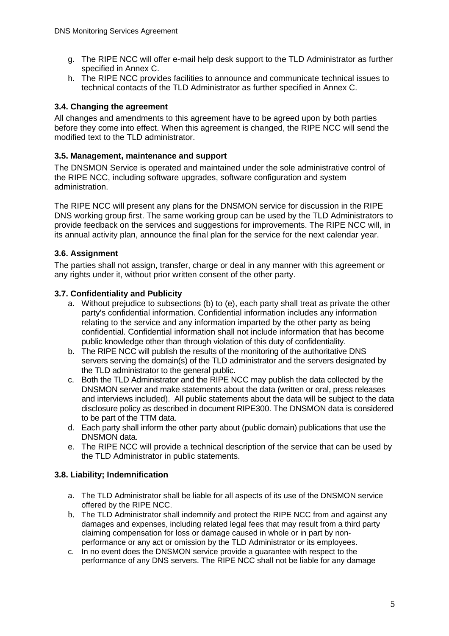- g. The RIPE NCC will offer e-mail help desk support to the TLD Administrator as further specified in Annex C.
- h. The RIPE NCC provides facilities to announce and communicate technical issues to technical contacts of the TLD Administrator as further specified in Annex C.

#### **3.4. Changing the agreement**

All changes and amendments to this agreement have to be agreed upon by both parties before they come into effect. When this agreement is changed, the RIPE NCC will send the modified text to the TLD administrator.

#### **3.5. Management, maintenance and support**

The DNSMON Service is operated and maintained under the sole administrative control of the RIPE NCC, including software upgrades, software configuration and system administration.

The RIPE NCC will present any plans for the DNSMON service for discussion in the RIPE DNS working group first. The same working group can be used by the TLD Administrators to provide feedback on the services and suggestions for improvements. The RIPE NCC will, in its annual activity plan, announce the final plan for the service for the next calendar year.

#### **3.6. Assignment**

The parties shall not assign, transfer, charge or deal in any manner with this agreement or any rights under it, without prior written consent of the other party.

#### **3.7. Confidentiality and Publicity**

- a. Without prejudice to subsections (b) to (e), each party shall treat as private the other party's confidential information. Confidential information includes any information relating to the service and any information imparted by the other party as being confidential. Confidential information shall not include information that has become public knowledge other than through violation of this duty of confidentiality.
- b. The RIPE NCC will publish the results of the monitoring of the authoritative DNS servers serving the domain(s) of the TLD administrator and the servers designated by the TLD administrator to the general public.
- c. Both the TLD Administrator and the RIPE NCC may publish the data collected by the DNSMON server and make statements about the data (written or oral, press releases and interviews included). All public statements about the data will be subject to the data disclosure policy as described in document RIPE300. The DNSMON data is considered to be part of the TTM data.
- d. Each party shall inform the other party about (public domain) publications that use the DNSMON data.
- e. The RIPE NCC will provide a technical description of the service that can be used by the TLD Administrator in public statements.

#### **3.8. Liability; Indemnification**

- a. The TLD Administrator shall be liable for all aspects of its use of the DNSMON service offered by the RIPE NCC.
- b. The TLD Administrator shall indemnify and protect the RIPE NCC from and against any damages and expenses, including related legal fees that may result from a third party claiming compensation for loss or damage caused in whole or in part by nonperformance or any act or omission by the TLD Administrator or its employees.
- c. In no event does the DNSMON service provide a guarantee with respect to the performance of any DNS servers. The RIPE NCC shall not be liable for any damage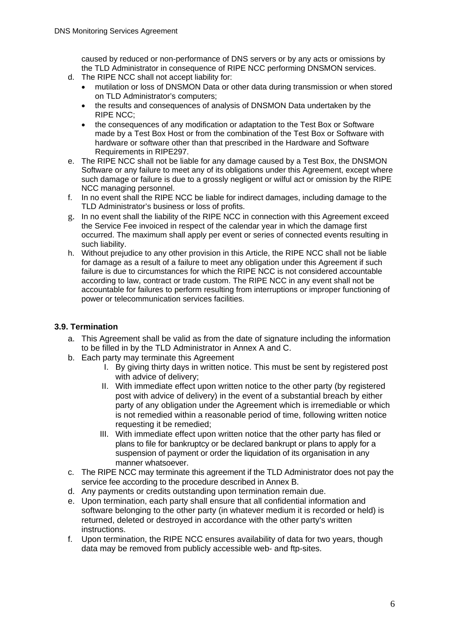caused by reduced or non-performance of DNS servers or by any acts or omissions by the TLD Administrator in consequence of RIPE NCC performing DNSMON services.

- d. The RIPE NCC shall not accept liability for:
	- mutilation or loss of DNSMON Data or other data during transmission or when stored on TLD Administrator's computers;
	- the results and consequences of analysis of DNSMON Data undertaken by the RIPE NCC;
	- the consequences of any modification or adaptation to the Test Box or Software made by a Test Box Host or from the combination of the Test Box or Software with hardware or software other than that prescribed in the Hardware and Software Requirements in RIPE297.
- e. The RIPE NCC shall not be liable for any damage caused by a Test Box, the DNSMON Software or any failure to meet any of its obligations under this Agreement, except where such damage or failure is due to a grossly negligent or wilful act or omission by the RIPE NCC managing personnel.
- f. In no event shall the RIPE NCC be liable for indirect damages, including damage to the TLD Administrator's business or loss of profits.
- g. In no event shall the liability of the RIPE NCC in connection with this Agreement exceed the Service Fee invoiced in respect of the calendar year in which the damage first occurred. The maximum shall apply per event or series of connected events resulting in such liability.
- h. Without prejudice to any other provision in this Article, the RIPE NCC shall not be liable for damage as a result of a failure to meet any obligation under this Agreement if such failure is due to circumstances for which the RIPE NCC is not considered accountable according to law, contract or trade custom. The RIPE NCC in any event shall not be accountable for failures to perform resulting from interruptions or improper functioning of power or telecommunication services facilities.

#### **3.9. Termination**

- a. This Agreement shall be valid as from the date of signature including the information to be filled in by the TLD Administrator in Annex A and C.
- b. Each party may terminate this Agreement
	- I. By giving thirty days in written notice. This must be sent by registered post with advice of delivery;
	- II. With immediate effect upon written notice to the other party (by registered post with advice of delivery) in the event of a substantial breach by either party of any obligation under the Agreement which is irremediable or which is not remedied within a reasonable period of time, following written notice requesting it be remedied;
	- III. With immediate effect upon written notice that the other party has filed or plans to file for bankruptcy or be declared bankrupt or plans to apply for a suspension of payment or order the liquidation of its organisation in any manner whatsoever.
- c. The RIPE NCC may terminate this agreement if the TLD Administrator does not pay the service fee according to the procedure described in Annex B.
- d. Any payments or credits outstanding upon termination remain due.
- e. Upon termination, each party shall ensure that all confidential information and software belonging to the other party (in whatever medium it is recorded or held) is returned, deleted or destroyed in accordance with the other party's written instructions.
- f. Upon termination, the RIPE NCC ensures availability of data for two years, though data may be removed from publicly accessible web- and ftp-sites.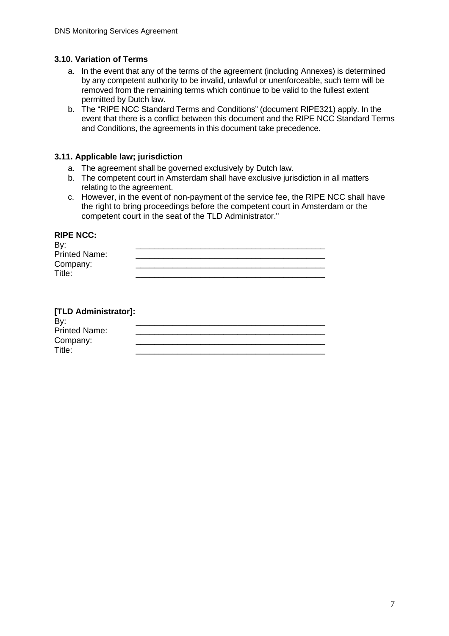#### **3.10. Variation of Terms**

- a. In the event that any of the terms of the agreement (including Annexes) is determined by any competent authority to be invalid, unlawful or unenforceable, such term will be removed from the remaining terms which continue to be valid to the fullest extent permitted by Dutch law.
- b. The "RIPE NCC Standard Terms and Conditions" (document RIPE321) apply. In the event that there is a conflict between this document and the RIPE NCC Standard Terms and Conditions, the agreements in this document take precedence.

#### **3.11. Applicable law; jurisdiction**

- a. The agreement shall be governed exclusively by Dutch law.
- b. The competent court in Amsterdam shall have exclusive jurisdiction in all matters relating to the agreement.
- c. However, in the event of non-payment of the service fee, the RIPE NCC shall have the right to bring proceedings before the competent court in Amsterdam or the competent court in the seat of the TLD Administrator."

#### **RIPE NCC:**

| By:                  |  |
|----------------------|--|
| <b>Printed Name:</b> |  |
| Company:             |  |
| Title:               |  |

| [TLD Administrator]:<br>By: |  |
|-----------------------------|--|
| <b>Printed Name:</b>        |  |
| Company:                    |  |
| Title:                      |  |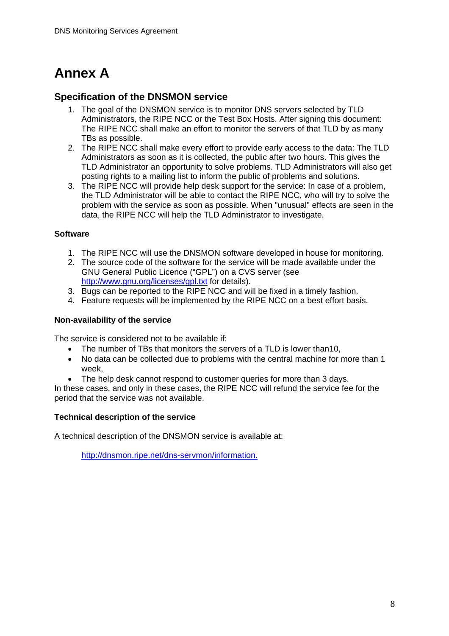# **Annex A**

### **Specification of the DNSMON service**

- 1. The goal of the DNSMON service is to monitor DNS servers selected by TLD Administrators, the RIPE NCC or the Test Box Hosts. After signing this document: The RIPE NCC shall make an effort to monitor the servers of that TLD by as many TBs as possible.
- 2. The RIPE NCC shall make every effort to provide early access to the data: The TLD Administrators as soon as it is collected, the public after two hours. This gives the TLD Administrator an opportunity to solve problems. TLD Administrators will also get posting rights to a mailing list to inform the public of problems and solutions.
- 3. The RIPE NCC will provide help desk support for the service: In case of a problem, the TLD Administrator will be able to contact the RIPE NCC, who will try to solve the problem with the service as soon as possible. When "unusual" effects are seen in the data, the RIPE NCC will help the TLD Administrator to investigate.

#### **Software**

- 1. The RIPE NCC will use the DNSMON software developed in house for monitoring.
- 2. The source code of the software for the service will be made available under the GNU General Public Licence ("GPL") on a CVS server (see <http://www.gnu.org/licenses/gpl.txt>for details).
- 3. Bugs can be reported to the RIPE NCC and will be fixed in a timely fashion.
- 4. Feature requests will be implemented by the RIPE NCC on a best effort basis.

#### **Non-availability of the service**

The service is considered not to be available if:

- The number of TBs that monitors the servers of a TLD is lower than10,
- No data can be collected due to problems with the central machine for more than 1 week,
- The help desk cannot respond to customer queries for more than 3 days.

In these cases, and only in these cases, the RIPE NCC will refund the service fee for the period that the service was not available.

#### **Technical description of the service**

A technical description of the DNSMON service is available at:

<http://dnsmon.ripe.net/dns-servmon/information.>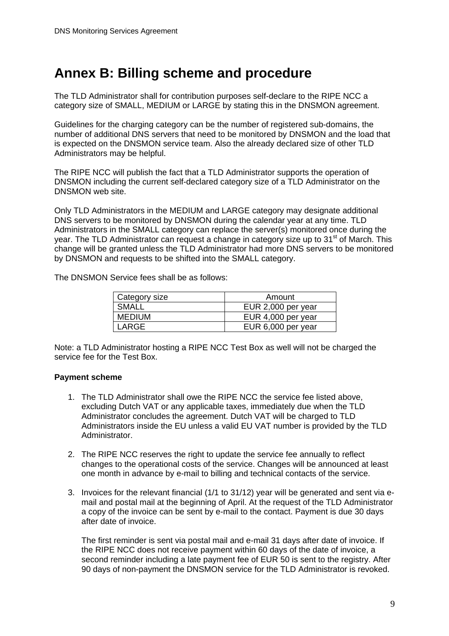## **Annex B: Billing scheme and procedure**

The TLD Administrator shall for contribution purposes self-declare to the RIPE NCC a category size of SMALL, MEDIUM or LARGE by stating this in the DNSMON agreement.

Guidelines for the charging category can be the number of registered sub-domains, the number of additional DNS servers that need to be monitored by DNSMON and the load that is expected on the DNSMON service team. Also the already declared size of other TLD Administrators may be helpful.

The RIPE NCC will publish the fact that a TLD Administrator supports the operation of DNSMON including the current self-declared category size of a TLD Administrator on the DNSMON web site.

Only TLD Administrators in the MEDIUM and LARGE category may designate additional DNS servers to be monitored by DNSMON during the calendar year at any time. TLD Administrators in the SMALL category can replace the server(s) monitored once during the year. The TLD Administrator can request a change in category size up to 31<sup>st</sup> of March. This change will be granted unless the TLD Administrator had more DNS servers to be monitored by DNSMON and requests to be shifted into the SMALL category.

The DNSMON Service fees shall be as follows:

| Category size | Amount             |  |
|---------------|--------------------|--|
| SMALL         | EUR 2,000 per year |  |
| <b>MEDIUM</b> | EUR 4,000 per year |  |
| LARGE         | EUR 6,000 per year |  |

Note: a TLD Administrator hosting a RIPE NCC Test Box as well will not be charged the service fee for the Test Box.

#### **Payment scheme**

- 1. The TLD Administrator shall owe the RIPE NCC the service fee listed above, excluding Dutch VAT or any applicable taxes, immediately due when the TLD Administrator concludes the agreement. Dutch VAT will be charged to TLD Administrators inside the EU unless a valid EU VAT number is provided by the TLD Administrator.
- 2. The RIPE NCC reserves the right to update the service fee annually to reflect changes to the operational costs of the service. Changes will be announced at least one month in advance by e-mail to billing and technical contacts of the service.
- 3. Invoices for the relevant financial (1/1 to 31/12) year will be generated and sent via email and postal mail at the beginning of April. At the request of the TLD Administrator a copy of the invoice can be sent by e-mail to the contact. Payment is due 30 days after date of invoice.

The first reminder is sent via postal mail and e-mail 31 days after date of invoice. If the RIPE NCC does not receive payment within 60 days of the date of invoice, a second reminder including a late payment fee of EUR 50 is sent to the registry. After 90 days of non-payment the DNSMON service for the TLD Administrator is revoked.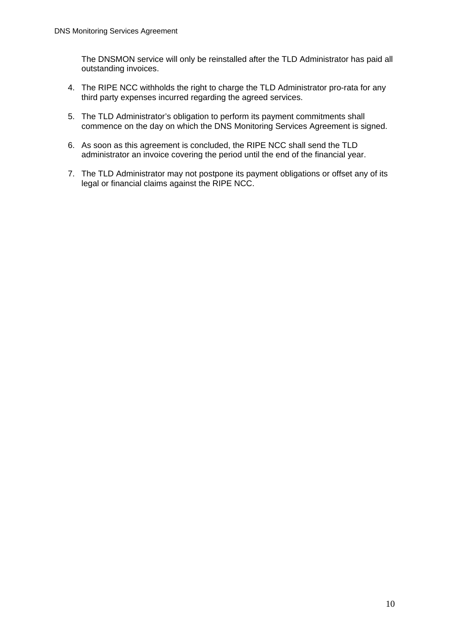The DNSMON service will only be reinstalled after the TLD Administrator has paid all outstanding invoices.

- 4. The RIPE NCC withholds the right to charge the TLD Administrator pro-rata for any third party expenses incurred regarding the agreed services.
- 5. The TLD Administrator's obligation to perform its payment commitments shall commence on the day on which the DNS Monitoring Services Agreement is signed.
- 6. As soon as this agreement is concluded, the RIPE NCC shall send the TLD administrator an invoice covering the period until the end of the financial year.
- 7. The TLD Administrator may not postpone its payment obligations or offset any of its legal or financial claims against the RIPE NCC.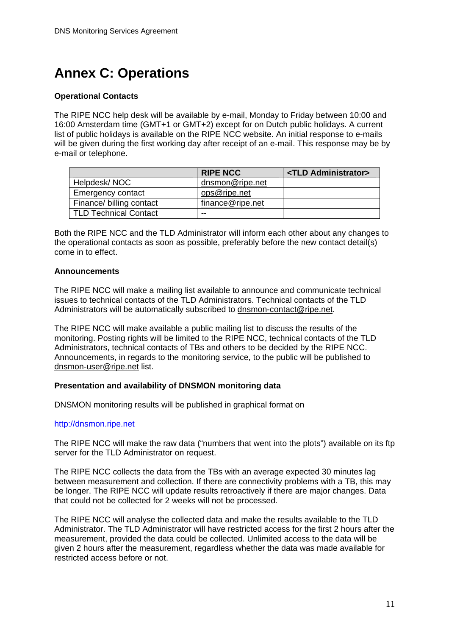# **Annex C: Operations**

#### **Operational Contacts**

The RIPE NCC help desk will be available by e-mail, Monday to Friday between 10:00 and 16:00 Amsterdam time (GMT+1 or GMT+2) except for on Dutch public holidays. A current list of public holidays is available on the RIPE NCC website. An initial response to e-mails will be given during the first working day after receipt of an e-mail. This response may be by e-mail or telephone.

|                          | <b>RIPE NCC</b>  | <tld administrator=""></tld> |
|--------------------------|------------------|------------------------------|
| Helpdesk/NOC             | dnsmon@ripe.net  |                              |
| <b>Emergency contact</b> | ops@ripe.net     |                              |
| Finance/ billing contact | finance@ripe.net |                              |
| TLD Technical Contact    | --               |                              |

Both the RIPE NCC and the TLD Administrator will inform each other about any changes to the operational contacts as soon as possible, preferably before the new contact detail(s) come in to effect.

#### **Announcements**

The RIPE NCC will make a mailing list available to announce and communicate technical issues to technical contacts of the TLD Administrators. Technical contacts of the TLD Administrators will be automatically subscribed to [dnsmon-contact@ripe.net.](mailto:dnsmon-contact@ripe.net)

The RIPE NCC will make available a public mailing list to discuss the results of the monitoring. Posting rights will be limited to the RIPE NCC, technical contacts of the TLD Administrators, technical contacts of TBs and others to be decided by the RIPE NCC. Announcements, in regards to the monitoring service, to the public will be published to [dnsmon-user@ripe.net](mailto:dnsmon-user@ripe.net) list.

#### **Presentation and availability of DNSMON monitoring data**

DNSMON monitoring results will be published in graphical format on

#### [http://dnsmon.ripe.net](http://dnsmondnsmon.ripe.net/)

The RIPE NCC will make the raw data ("numbers that went into the plots") available on its ftp server for the TLD Administrator on request.

The RIPE NCC collects the data from the TBs with an average expected 30 minutes lag between measurement and collection. If there are connectivity problems with a TB, this may be longer. The RIPE NCC will update results retroactively if there are major changes. Data that could not be collected for 2 weeks will not be processed.

The RIPE NCC will analyse the collected data and make the results available to the TLD Administrator. The TLD Administrator will have restricted access for the first 2 hours after the measurement, provided the data could be collected. Unlimited access to the data will be given 2 hours after the measurement, regardless whether the data was made available for restricted access before or not.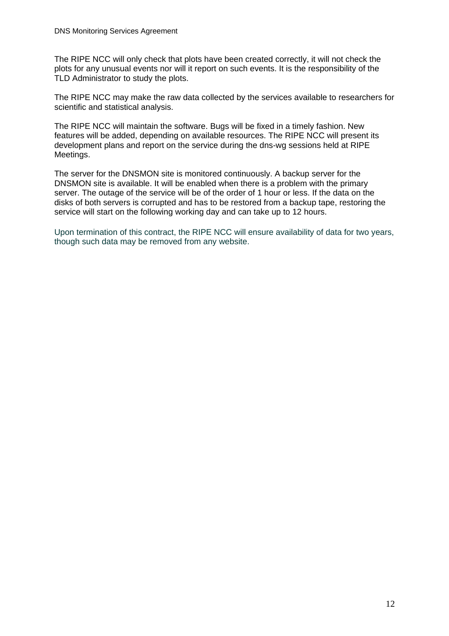The RIPE NCC will only check that plots have been created correctly, it will not check the plots for any unusual events nor will it report on such events. It is the responsibility of the TLD Administrator to study the plots.

The RIPE NCC may make the raw data collected by the services available to researchers for scientific and statistical analysis.

The RIPE NCC will maintain the software. Bugs will be fixed in a timely fashion. New features will be added, depending on available resources. The RIPE NCC will present its development plans and report on the service during the dns-wg sessions held at RIPE Meetings.

The server for the DNSMON site is monitored continuously. A backup server for the DNSMON site is available. It will be enabled when there is a problem with the primary server. The outage of the service will be of the order of 1 hour or less. If the data on the disks of both servers is corrupted and has to be restored from a backup tape, restoring the service will start on the following working day and can take up to 12 hours.

Upon termination of this contract, the RIPE NCC will ensure availability of data for two years, though such data may be removed from any website.